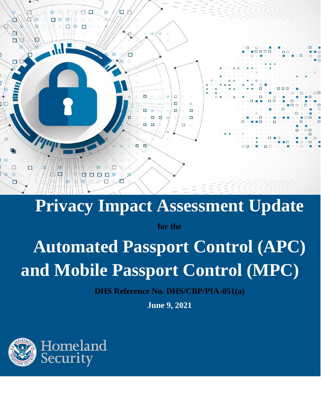

## **Privacy Impact Assessment Update**

**for the**

# **Automated Passport Control (APC) and Mobile Passport Control (MPC)**

**DHS Reference No. DHS/CBP/PIA-051(a)**

**June 9, 2021**

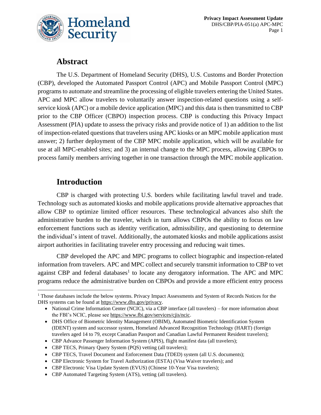

### **Abstract**

The U.S. Department of Homeland Security (DHS), U.S. Customs and Border Protection (CBP), developed the Automated Passport Control (APC) and Mobile Passport Control (MPC) programs to automate and streamline the processing of eligible travelers entering the United States. APC and MPC allow travelers to voluntarily answer inspection-related questions using a selfservice kiosk (APC) or a mobile device application (MPC) and this data is then transmitted to CBP prior to the CBP Officer (CBPO) inspection process. CBP is conducting this Privacy Impact Assessment (PIA) update to assess the privacy risks and provide notice of 1) an addition to the list of inspection-related questions that travelers using APC kiosks or an MPC mobile application must answer; 2) further deployment of the CBP MPC mobile application, which will be available for use at all MPC-enabled sites; and 3) an internal change to the MPC process, allowing CBPOs to process family members arriving together in one transaction through the MPC mobile application.

## **Introduction**

CBP is charged with protecting U.S. borders while facilitating lawful travel and trade. Technology such as automated kiosks and mobile applications provide alternative approaches that allow CBP to optimize limited officer resources. These technological advances also shift the administrative burden to the traveler, which in turn allows CBPOs the ability to focus on law enforcement functions such as identity verification, admissibility, and questioning to determine the individual's intent of travel. Additionally, the automated kiosks and mobile applications assist airport authorities in facilitating traveler entry processing and reducing wait times.

CBP developed the APC and MPC programs to collect biographic and inspection-related information from travelers. APC and MPC collect and securely transmit information to CBP to vet against CBP and federal databases<sup>1</sup> to locate any derogatory information. The APC and MPC programs reduce the administrative burden on CBPOs and provide a more efficient entry process

• CBP Electronic System for Travel Authorization (ESTA) (Visa Waiver travelers); and

<sup>&</sup>lt;sup>1</sup> Those databases include the below systems. Privacy Impact Assessments and System of Records Notices for the DHS systems can be found a[t https://www.dhs.gov/privacy.](https://www.dhs.gov/privacy)

<sup>•</sup> National Crime Information Center (NCIC), via a CBP interface (all travelers) – for more information about the FBI's NCIC, please see [https://www.fbi.gov/services/cjis/ncic.](https://www.fbi.gov/services/cjis/ncic)

<sup>•</sup> DHS Office of Biometric Identity Management (OBIM), Automated Biometric Identification System (IDENT) system and successor system, Homeland Advanced Recognition Technology (HART) (foreign travelers aged 14 to 79, except Canadian Passport and Canadian Lawful Permanent Resident travelers);

<sup>•</sup> CBP Advance Passenger Information System (APIS), flight manifest data (all travelers);

<sup>•</sup> CBP TECS, Primary Query System (PQS) vetting (all travelers);

<sup>•</sup> CBP TECS, Travel Document and Enforcement Data (TDED) system (all U.S. documents);

<sup>•</sup> CBP Electronic Visa Update System (EVUS) (Chinese 10-Year Visa travelers);

<sup>•</sup> CBP Automated Targeting System (ATS), vetting (all travelers).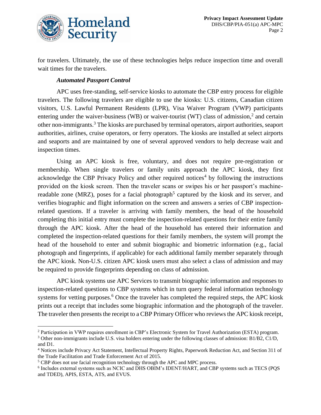

for travelers. Ultimately, the use of these technologies helps reduce inspection time and overall wait times for the travelers.

#### *Automated Passport Control*

APC uses free-standing, self-service kiosks to automate the CBP entry process for eligible travelers. The following travelers are eligible to use the kiosks: U.S. citizens, Canadian citizen visitors, U.S. Lawful Permanent Residents (LPR), Visa Waiver Program (VWP) participants entering under the waiver-business (WB) or waiver-tourist (WT) class of admission,<sup>2</sup> and certain other non-immigrants.<sup>3</sup> The kiosks are purchased by terminal operators, airport authorities, seaport authorities, airlines, cruise operators, or ferry operators. The kiosks are installed at select airports and seaports and are maintained by one of several approved vendors to help decrease wait and inspection times.

Using an APC kiosk is free, voluntary, and does not require pre-registration or membership. When single travelers or family units approach the APC kiosk, they first acknowledge the CBP Privacy Policy and other required notices<sup>4</sup> by following the instructions provided on the kiosk screen. Then the traveler scans or swipes his or her passport's machinereadable zone (MRZ), poses for a facial photograph<sup>5</sup> captured by the kiosk and its server, and verifies biographic and flight information on the screen and answers a series of CBP inspectionrelated questions. If a traveler is arriving with family members, the head of the household completing this initial entry must complete the inspection-related questions for their entire family through the APC kiosk. After the head of the household has entered their information and completed the inspection-related questions for their family members, the system will prompt the head of the household to enter and submit biographic and biometric information (e.g., facial photograph and fingerprints, if applicable) for each additional family member separately through the APC kiosk. Non-U.S. citizen APC kiosk users must also select a class of admission and may be required to provide fingerprints depending on class of admission.

APC kiosk systems use APC Services to transmit biographic information and responses to inspection-related questions to CBP systems which in turn query federal information technology systems for vetting purposes.<sup>6</sup> Once the traveler has completed the required steps, the APC kiosk prints out a receipt that includes some biographic information and the photograph of the traveler. The traveler then presents the receipt to a CBP Primary Officer who reviews the APC kiosk receipt,

<sup>2</sup> Participation in VWP requires enrollment in CBP's Electronic System for Travel Authorization (ESTA) program.

 $3$  Other non-immigrants include U.S. visa holders entering under the following classes of admission: B1/B2, C1/D, and D1.

<sup>4</sup> Notices include Privacy Act Statement, Intellectual Property Rights, Paperwork Reduction Act, and Section 311 of the Trade Facilitation and Trade Enforcement Act of 2015.

<sup>&</sup>lt;sup>5</sup> CBP does not use facial recognition technology through the APC and MPC process.

<sup>6</sup> Includes external systems such as NCIC and DHS OBIM's IDENT/HART, and CBP systems such as TECS (PQS and TDED), APIS, ESTA, ATS, and EVUS.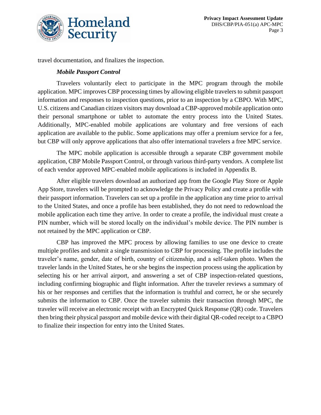

travel documentation, and finalizes the inspection.

#### *Mobile Passport Control*

Travelers voluntarily elect to participate in the MPC program through the mobile application. MPC improves CBP processing times by allowing eligible travelers to submit passport information and responses to inspection questions, prior to an inspection by a CBPO. With MPC, U.S. citizens and Canadian citizen visitors may download a CBP-approved mobile application onto their personal smartphone or tablet to automate the entry process into the United States. Additionally, MPC-enabled mobile applications are voluntary and free versions of each application are available to the public. Some applications may offer a premium service for a fee, but CBP will only approve applications that also offer international travelers a free MPC service.

The MPC mobile application is accessible through a separate CBP government mobile application, CBP Mobile Passport Control, or through various third-party vendors. A complete list of each vendor approved MPC-enabled mobile applications is included in Appendix B.

After eligible travelers download an authorized app from the Google Play Store or Apple App Store, travelers will be prompted to acknowledge the Privacy Policy and create a profile with their passport information. Travelers can set up a profile in the application any time prior to arrival to the United States, and once a profile has been established, they do not need to redownload the mobile application each time they arrive. In order to create a profile, the individual must create a PIN number, which will be stored locally on the individual's mobile device. The PIN number is not retained by the MPC application or CBP.

CBP has improved the MPC process by allowing families to use one device to create multiple profiles and submit a single transmission to CBP for processing. The profile includes the traveler's name, gender, date of birth, country of citizenship, and a self-taken photo. When the traveler lands in the United States, he or she begins the inspection process using the application by selecting his or her arrival airport, and answering a set of CBP inspection-related questions, including confirming biographic and flight information. After the traveler reviews a summary of his or her responses and certifies that the information is truthful and correct, he or she securely submits the information to CBP. Once the traveler submits their transaction through MPC, the traveler will receive an electronic receipt with an Encrypted Quick Response (QR) code. Travelers then bring their physical passport and mobile device with their digital QR-coded receipt to a CBPO to finalize their inspection for entry into the United States.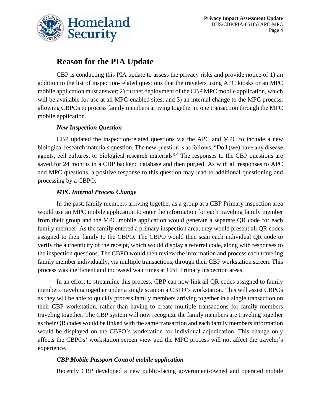

## **Reason for the PIA Update**

CBP is conducting this PIA update to assess the privacy risks and provide notice of 1) an addition to the list of inspection-related questions that the travelers using APC kiosks or an MPC mobile application must answer; 2) further deployment of the CBP MPC mobile application, which will be available for use at all MPC-enabled sites; and 3) an internal change to the MPC process, allowing CBPOs to process family members arriving together in one transaction through the MPC mobile application.

#### *New Inspection Question*

CBP updated the inspection-related questions via the APC and MPC to include a new biological research materials question. The new question is as follows, "Do I (we) have any disease agents, cell cultures, or biological research materials?" The responses to the CBP questions are saved for 24 months in a CBP backend database and then purged. As with all responses to APC and MPC questions, a positive response to this question may lead to additional questioning and processing by a CBPO.

#### *MPC Internal Process Change*

In the past, family members arriving together as a group at a CBP Primary inspection area would use an MPC mobile application to enter the information for each traveling family member from their group and the MPC mobile application would generate a separate QR code for each family member. As the family entered a primary inspection area, they would present all QR codes assigned to their family to the CBPO. The CBPO would then scan each individual QR code to verify the authenticity of the receipt, which would display a referral code, along with responses to the inspection questions. The CBPO would then review the information and process each traveling family member individually, via multiple transactions, through their CBP workstation screen. This process was inefficient and increased wait times at CBP Primary inspection areas.

In an effort to streamline this process, CBP can now link all QR codes assigned to family members traveling together under a single scan on a CBPO's workstation. This will assist CBPOs as they will be able to quickly process family members arriving together in a single transaction on their CBP workstation, rather than having to create multiple transactions for family members traveling together. The CBP system will now recognize the family members are traveling together as their QR codes would be linked with the same transaction and each family members information would be displayed on the CBPO's workstation for individual adjudication. This change only affects the CBPOs' workstation screen view and the MPC process will not affect the traveler's experience.

#### *CBP Mobile Passport Control mobile application*

Recently CBP developed a new public-facing government-owned and operated mobile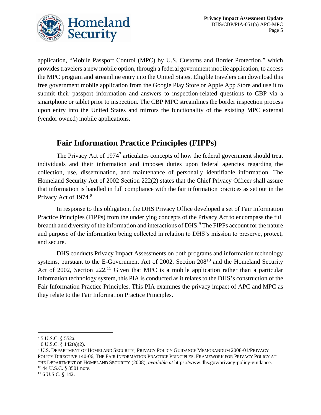

application, "Mobile Passport Control (MPC) by U.S. Customs and Border Protection," which provides travelers a new mobile option, through a federal government mobile application, to access the MPC program and streamline entry into the United States. Eligible travelers can download this free government mobile application from the Google Play Store or Apple App Store and use it to submit their passport information and answers to inspection-related questions to CBP via a smartphone or tablet prior to inspection. The CBP MPC streamlines the border inspection process upon entry into the United States and mirrors the functionality of the existing MPC external (vendor owned) mobile applications.

## **Fair Information Practice Principles (FIPPs)**

The Privacy Act of  $1974<sup>7</sup>$  articulates concepts of how the federal government should treat individuals and their information and imposes duties upon federal agencies regarding the collection, use, dissemination, and maintenance of personally identifiable information. The Homeland Security Act of 2002 Section 222(2) states that the Chief Privacy Officer shall assure that information is handled in full compliance with the fair information practices as set out in the Privacy Act of 1974.<sup>8</sup>

In response to this obligation, the DHS Privacy Office developed a set of Fair Information Practice Principles (FIPPs) from the underlying concepts of the Privacy Act to encompass the full breadth and diversity of the information and interactions of DHS.<sup>9</sup> The FIPPs account for the nature and purpose of the information being collected in relation to DHS's mission to preserve, protect, and secure.

DHS conducts Privacy Impact Assessments on both programs and information technology systems, pursuant to the E-Government Act of 2002, Section 208<sup>10</sup> and the Homeland Security Act of 2002, Section  $222<sup>11</sup>$  Given that MPC is a mobile application rather than a particular information technology system, this PIA is conducted as it relates to the DHS's construction of the Fair Information Practice Principles. This PIA examines the privacy impact of APC and MPC as they relate to the Fair Information Practice Principles.

<sup>7</sup> 5 U.S.C. § 552a.

 $86$  U.S.C. § 142(a)(2).

<sup>9</sup> U.S. DEPARTMENT OF HOMELAND SECURITY, PRIVACY POLICY GUIDANCE MEMORANDUM 2008-01/PRIVACY POLICY DIRECTIVE 140-06, THE FAIR INFORMATION PRACTICE PRINCIPLES: FRAMEWORK FOR PRIVACY POLICY AT THE DEPARTMENT OF HOMELAND SECURITY (2008), *available at* [https://www.dhs.gov/privacy-policy-guidance.](https://www.dhs.gov/privacy-policy-guidance) <sup>10</sup> 44 U.S.C. § 3501 note.

<sup>&</sup>lt;sup>11</sup> 6 U.S.C. § 142.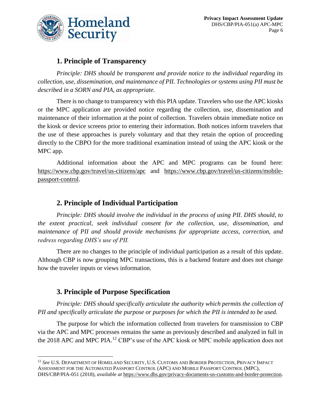

#### **1. Principle of Transparency**

*Principle: DHS should be transparent and provide notice to the individual regarding its collection, use, dissemination, and maintenance of PII. Technologies or systems using PII must be described in a SORN and PIA, as appropriate.* 

There is no change to transparency with this PIA update. Travelers who use the APC kiosks or the MPC application are provided notice regarding the collection, use, dissemination and maintenance of their information at the point of collection. Travelers obtain immediate notice on the kiosk or device screens prior to entering their information. Both notices inform travelers that the use of these approaches is purely voluntary and that they retain the option of proceeding directly to the CBPO for the more traditional examination instead of using the APC kiosk or the MPC app.

Additional information about the APC and MPC programs can be found here: <https://www.cbp.gov/travel/us-citizens/apc> and [https://www.cbp.gov/travel/us-citizens/mobile](https://www.cbp.gov/travel/us-citizens/mobile-passport-control)[passport-control.](https://www.cbp.gov/travel/us-citizens/mobile-passport-control)

#### **2. Principle of Individual Participation**

*Principle: DHS should involve the individual in the process of using PII. DHS should, to the extent practical, seek individual consent for the collection, use, dissemination, and maintenance of PII and should provide mechanisms for appropriate access, correction, and redress regarding DHS's use of PII.*

There are no changes to the principle of individual participation as a result of this update. Although CBP is now grouping MPC transactions, this is a backend feature and does not change how the traveler inputs or views information.

#### **3. Principle of Purpose Specification**

*Principle: DHS should specifically articulate the authority which permits the collection of PII and specifically articulate the purpose or purposes for which the PII is intended to be used.*

The purpose for which the information collected from travelers for transmission to CBP via the APC and MPC processes remains the same as previously described and analyzed in full in the 2018 APC and MPC PIA.<sup>12</sup> CBP's use of the APC kiosk or MPC mobile application does not

<sup>12</sup> *See* U.S. DEPARTMENT OF HOMELAND SECURITY, U.S. CUSTOMS AND BORDER PROTECTION, PRIVACY IMPACT ASSESSMENT FOR THE AUTOMATED PASSPORT CONTROL (APC) AND MOBILE PASSPORT CONTROL (MPC), DHS/CBP/PIA-051 (2018), *available at* [https://www.dhs.gov/privacy-documents-us-customs-and-border-protection.](https://www.dhs.gov/privacy-documents-us-customs-and-border-protection)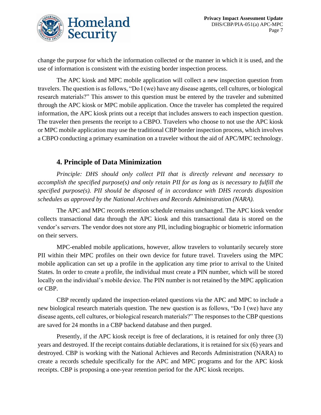

change the purpose for which the information collected or the manner in which it is used, and the use of information is consistent with the existing border inspection process.

The APC kiosk and MPC mobile application will collect a new inspection question from travelers. The question is as follows, "Do I (we) have any disease agents, cell cultures, or biological research materials?" This answer to this question must be entered by the traveler and submitted through the APC kiosk or MPC mobile application. Once the traveler has completed the required information, the APC kiosk prints out a receipt that includes answers to each inspection question. The traveler then presents the receipt to a CBPO. Travelers who choose to not use the APC kiosk or MPC mobile application may use the traditional CBP border inspection process, which involves a CBPO conducting a primary examination on a traveler without the aid of APC/MPC technology.

#### **4. Principle of Data Minimization**

*Principle: DHS should only collect PII that is directly relevant and necessary to accomplish the specified purpose(s) and only retain PII for as long as is necessary to fulfill the specified purpose(s). PII should be disposed of in accordance with DHS records disposition schedules as approved by the National Archives and Records Administration (NARA).*

The APC and MPC records retention schedule remains unchanged. The APC kiosk vendor collects transactional data through the APC kiosk and this transactional data is stored on the vendor's servers. The vendor does not store any PII, including biographic or biometric information on their servers.

MPC-enabled mobile applications, however, allow travelers to voluntarily securely store PII within their MPC profiles on their own device for future travel. Travelers using the MPC mobile application can set up a profile in the application any time prior to arrival to the United States. In order to create a profile, the individual must create a PIN number, which will be stored locally on the individual's mobile device. The PIN number is not retained by the MPC application or CBP.

CBP recently updated the inspection-related questions via the APC and MPC to include a new biological research materials question. The new question is as follows, "Do I (we) have any disease agents, cell cultures, or biological research materials?" The responses to the CBP questions are saved for 24 months in a CBP backend database and then purged.

Presently, if the APC kiosk receipt is free of declarations, it is retained for only three (3) years and destroyed. If the receipt contains dutiable declarations, it is retained for six (6) years and destroyed. CBP is working with the National Achieves and Records Administration (NARA) to create a records schedule specifically for the APC and MPC programs and for the APC kiosk receipts. CBP is proposing a one-year retention period for the APC kiosk receipts.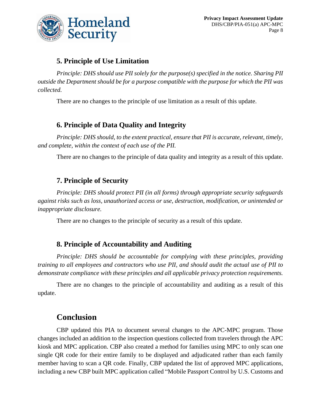

#### **5. Principle of Use Limitation**

*Principle: DHS should use PII solely for the purpose(s) specified in the notice. Sharing PII outside the Department should be for a purpose compatible with the purpose for which the PII was collected.*

There are no changes to the principle of use limitation as a result of this update.

#### **6. Principle of Data Quality and Integrity**

*Principle: DHS should, to the extent practical, ensure that PII is accurate, relevant, timely, and complete, within the context of each use of the PII.*

There are no changes to the principle of data quality and integrity as a result of this update.

#### **7. Principle of Security**

*Principle: DHS should protect PII (in all forms) through appropriate security safeguards against risks such as loss, unauthorized access or use, destruction, modification, or unintended or inappropriate disclosure.*

There are no changes to the principle of security as a result of this update.

#### **8. Principle of Accountability and Auditing**

*Principle: DHS should be accountable for complying with these principles, providing training to all employees and contractors who use PII, and should audit the actual use of PII to demonstrate compliance with these principles and all applicable privacy protection requirements.*

There are no changes to the principle of accountability and auditing as a result of this update.

#### **Conclusion**

CBP updated this PIA to document several changes to the APC-MPC program. Those changes included an addition to the inspection questions collected from travelers through the APC kiosk and MPC application. CBP also created a method for families using MPC to only scan one single QR code for their entire family to be displayed and adjudicated rather than each family member having to scan a QR code. Finally, CBP updated the list of approved MPC applications, including a new CBP built MPC application called "Mobile Passport Control by U.S. Customs and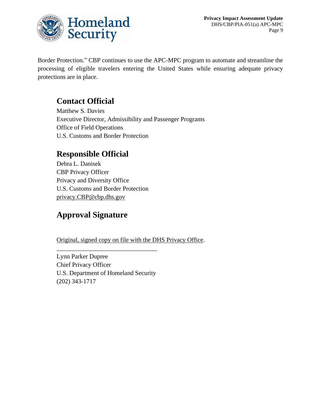

Border Protection." CBP continues to use the APC-MPC program to automate and streamline the processing of eligible travelers entering the United States while ensuring adequate privacy protections are in place.

## **Contact Official**

Matthew S. Davies Executive Director, Admissibility and Passenger Programs Office of Field Operations U.S. Customs and Border Protection

## **Responsible Official**

Debra L. Danisek CBP Privacy Officer Privacy and Diversity Office U.S. Customs and Border Protection [privacy.CBP@cbp.dhs.gov](mailto:privacy.CBP@cbp.dhs.gov)

## **Approval Signature**

Original, signed copy on file with the DHS Privacy Office.

Lynn Parker Dupree Chief Privacy Officer U.S. Department of Homeland Security (202) 343-1717

\_\_\_\_\_\_\_\_\_\_\_\_\_\_\_\_\_\_\_\_\_\_\_\_\_\_\_\_\_\_\_\_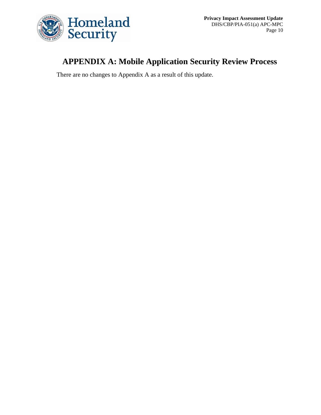

## **APPENDIX A: Mobile Application Security Review Process**

There are no changes to Appendix A as a result of this update.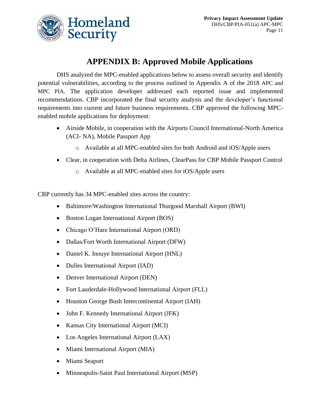

## **APPENDIX B: Approved Mobile Applications**

DHS analyzed the MPC-enabled applications below to assess overall security and identify potential vulnerabilities, according to the process outlined in Appendix A of the 2018 APC and MPC PIA. The application developer addressed each reported issue and implemented recommendations. CBP incorporated the final security analysis and the developer's functional requirements into current and future business requirements. CBP approved the following MPCenabled mobile applications for deployment:

- Airside Mobile, in cooperation with the Airports Council International-North America (ACI- NA), Mobile Passport App
	- o Available at all MPC-enabled sites for both Android and iOS/Apple users
- Clear, in cooperation with Delta Airlines, ClearPass for CBP Mobile Passport Control
	- o Available at all MPC-enabled sites for iOS/Apple users

CBP currently has 34 MPC-enabled sites across the country:

- Baltimore/Washington International Thurgood Marshall Airport (BWI)
- Boston Logan International Airport (BOS)
- Chicago O'Hare International Airport (ORD)
- Dallas/Fort Worth International Airport (DFW)
- Daniel K. Inouye International Airport (HNL)
- Dulles International Airport (IAD)
- Denver International Airport (DEN)
- Fort Lauderdale-Hollywood International Airport (FLL)
- Houston George Bush Intercontinental Airport (IAH)
- John F. Kennedy International Airport (JFK)
- Kansas City International Airport (MCI)
- Los Angeles International Airport (LAX)
- Miami International Airport (MIA)
- Miami Seaport
- Minneapolis-Saint Paul International Airport (MSP)